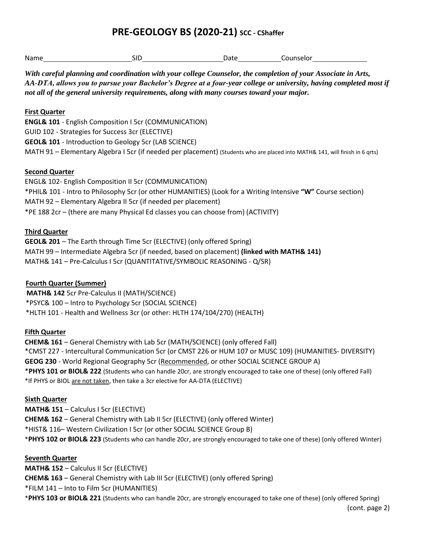# **PRE-GEOLOGY BS (2020-21) SCC - CShaffer**

| Name | SID | Date | ounselor |
|------|-----|------|----------|
|      |     |      |          |

*With careful planning and coordination with your college Counselor, the completion of your Associate in Arts, AA-DTA, allows you to pursue your Bachelor's Degree at a four-year college or university, having completed most if not all of the general university requirements, along with many courses toward your major.*

### **First Quarter**

**ENGL& 101** - English Composition I 5cr (COMMUNICATION) GUID 102 - Strategies for Success 3cr (ELECTIVE) **GEOL& 101** - Introduction to Geology 5cr (LAB SCIENCE) MATH 91 – Elementary Algebra I 5cr (if needed per placement) (Students who are placed into MATH& 141, will finish in 6 qrts)

#### **Second Quarter**

ENGL& 102- English Composition II 5cr (COMMUNICATION) \*PHIL& 101 - Intro to Philosophy 5cr (or other HUMANITIES) (Look for a Writing Intensive **"W"** Course section) MATH 92 – Elementary Algebra II 5cr (if needed per placement) \*PE 188 2cr – (there are many Physical Ed classes you can choose from) (ACTIVITY)

## **Third Quarter**

**GEOL& 201** – The Earth through Time 5cr (ELECTIVE) (only offered Spring) MATH 99 – Intermediate Algebra 5cr (if needed, based on placement) **(linked with MATH& 141)** MATH& 141 – Pre-Calculus I 5cr (QUANTITATIVE/SYMBOLIC REASONING - Q/SR)

## **Fourth Quarter (Summer)**

**MATH& 142** 5cr Pre-Calculus II (MATH/SCIENCE) \*PSYC& 100 – Intro to Psychology 5cr (SOCIAL SCIENCE) \*HLTH 101 - Health and Wellness 3cr (or other: HLTH 174/104/270) (HEALTH)

#### **Fifth Quarter**

**CHEM& 161** – General Chemistry with Lab 5cr (MATH/SCIENCE) (only offered Fall) \*CMST 227 - Intercultural Communication 5cr (or CMST 226 or HUM 107 or MUSC 109) (HUMANITIES- DIVERSITY) **GEOG 230** - World Regional Geography 5cr (Recommended, or other SOCIAL SCIENCE GROUP A) \***PHYS 101 or BIOL& 222** (Students who can handle 20cr, are strongly encouraged to take one of these) (only offered Fall) \*If PHYS or BIOL are not taken, then take a 3cr elective for AA-DTA (ELECTIVE)

#### **Sixth Quarter**

**MATH& 151** – Calculus I 5cr (ELECTIVE) **CHEM& 162** – General Chemistry with Lab II 5cr (ELECTIVE) (only offered Winter) \*HIST& 116– Western Civilization I 5cr (or other SOCIAL SCIENCE Group B) \***PHYS 102 or BIOL& 223** (Students who can handle 20cr, are strongly encouraged to take one of these) (only offered Winter)

## **Seventh Quarter**

**MATH& 152** – Calculus II 5cr (ELECTIVE) **CHEM& 163** – General Chemistry with Lab III 5cr (ELECTIVE) (only offered Spring) \*FILM 141 – Into to Film 5cr (HUMANITIES) \***[PHYS 103 or BIOL& 221](https://www2.ewu.edu/cstem/departments/geology/geology-degrees/bs)** (Students who can handle 20cr, are strongly encouraged to take one of these) (only offered Spring)